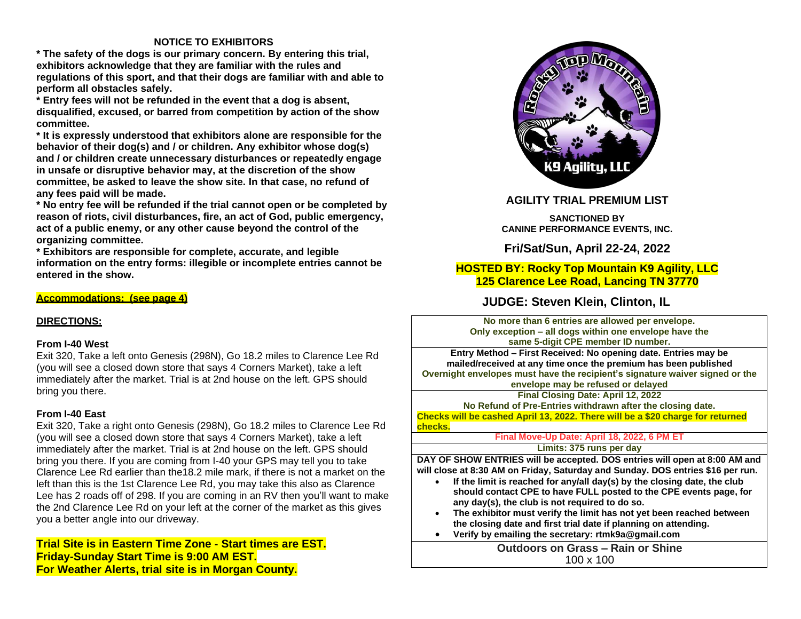### **NOTICE TO EXHIBITORS**

**\* The safety of the dogs is our primary concern. By entering this trial, exhibitors acknowledge that they are familiar with the rules and regulations of this sport, and that their dogs are familiar with and able to perform all obstacles safely.**

**\* Entry fees will not be refunded in the event that a dog is absent, disqualified, excused, or barred from competition by action of the show committee.**

**\* It is expressly understood that exhibitors alone are responsible for the behavior of their dog(s) and / or children. Any exhibitor whose dog(s) and / or children create unnecessary disturbances or repeatedly engage in unsafe or disruptive behavior may, at the discretion of the show committee, be asked to leave the show site. In that case, no refund of any fees paid will be made.**

**\* No entry fee will be refunded if the trial cannot open or be completed by reason of riots, civil disturbances, fire, an act of God, public emergency, act of a public enemy, or any other cause beyond the control of the organizing committee.**

**\* Exhibitors are responsible for complete, accurate, and legible information on the entry forms: illegible or incomplete entries cannot be entered in the show.**

#### **Accommodations: (see page 4)**

#### **DIRECTIONS:**

#### **From I-40 West**

Exit 320, Take a left onto Genesis (298N), Go 18.2 miles to Clarence Lee Rd (you will see a closed down store that says 4 Corners Market), take a left immediately after the market. Trial is at 2nd house on the left. GPS should bring you there.

#### **From I-40 East**

Exit 320, Take a right onto Genesis (298N), Go 18.2 miles to Clarence Lee Rd (you will see a closed down store that says 4 Corners Market), take a left immediately after the market. Trial is at 2nd house on the left. GPS should bring you there. If you are coming from I-40 your GPS may tell you to take Clarence Lee Rd earlier than the18.2 mile mark, if there is not a market on the left than this is the 1st Clarence Lee Rd, you may take this also as Clarence Lee has 2 roads off of 298. If you are coming in an RV then you'll want to make the 2nd Clarence Lee Rd on your left at the corner of the market as this gives you a better angle into our driveway.

**Trial Site is in Eastern Time Zone - Start times are EST. Friday-Sunday Start Time is 9:00 AM EST. For Weather Alerts, trial site is in Morgan County.**



### **AGILITY TRIAL PREMIUM LIST**

**SANCTIONED BY CANINE PERFORMANCE EVENTS, INC.**

**Fri/Sat/Sun, April 22-24, 2022**

## **HOSTED BY: Rocky Top Mountain K9 Agility, LLC 125 Clarence Lee Road, Lancing TN 37770**

## **JUDGE: Steven Klein, Clinton, IL**

**No more than 6 entries are allowed per envelope. Only exception – all dogs within one envelope have the same 5-digit CPE member ID number.**

**Entry Method – First Received: No opening date. Entries may be mailed/received at any time once the premium has been published Overnight envelopes must have the recipient's signature waiver signed or the**

**envelope may be refused or delayed**

**Final Closing Date: April 12, 2022 No Refund of Pre-Entries withdrawn after the closing date. Checks will be cashed April 13, 2022. There will be a \$20 charge for returned checks.**

> **Final Move-Up Date: April 18, 2022, 6 PM ET Limits: 375 runs per day**

**DAY OF SHOW ENTRIES will be accepted. DOS entries will open at 8:00 AM and will close at 8:30 AM on Friday, Saturday and Sunday. DOS entries \$16 per run.**

- **If the limit is reached for any/all day(s) by the closing date, the club should contact CPE to have FULL posted to the CPE events page, for any day(s), the club is not required to do so.**
- **The exhibitor must verify the limit has not yet been reached between the closing date and first trial date if planning on attending.**
- **Verify by emailing the secretary: rtmk9a@gmail.com**

**Outdoors on Grass – Rain or Shine** 100 x 100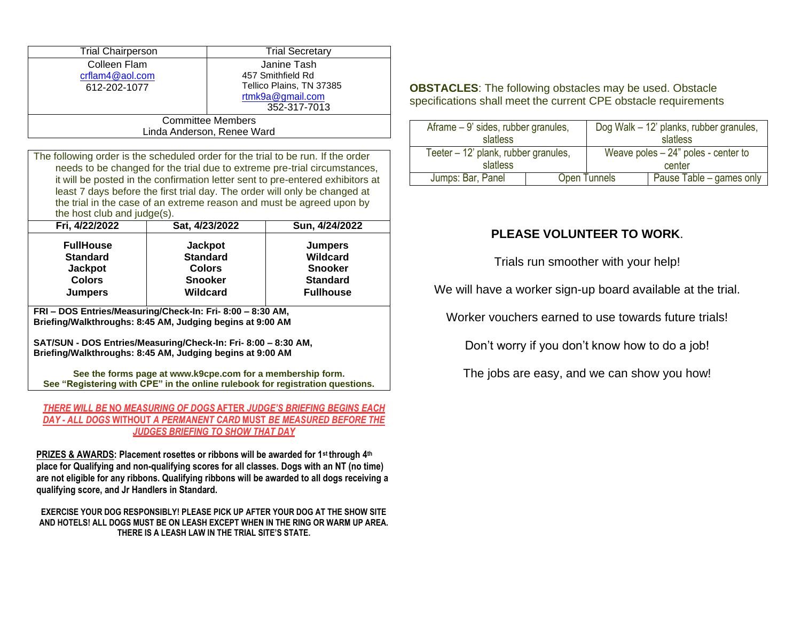| <b>Trial Chairperson</b>                                                        | <b>Trial Secretary</b>   |  |  |  |
|---------------------------------------------------------------------------------|--------------------------|--|--|--|
| Colleen Flam                                                                    | Janine Tash              |  |  |  |
| crflam4@aol.com                                                                 | 457 Smithfield Rd        |  |  |  |
| 612-202-1077                                                                    | Tellico Plains, TN 37385 |  |  |  |
|                                                                                 | rtmk9a@gmail.com         |  |  |  |
|                                                                                 | 352-317-7013             |  |  |  |
| <b>Committee Members</b>                                                        |                          |  |  |  |
| Linda Anderson, Renee Ward                                                      |                          |  |  |  |
|                                                                                 |                          |  |  |  |
| The following order is the scheduled order for the trial to be run If the order |                          |  |  |  |

the scheduled order for the trial to be run. If the needs to be changed for the trial due to extreme pre-trial circumstances, it will be posted in the confirmation letter sent to pre-entered exhibitors at least 7 days before the first trial day. The order will only be changed at the trial in the case of an extreme reason and must be agreed upon by the host club and judge(s).

| Fri, 4/22/2022   | Sat, 4/23/2022  | Sun, 4/24/2022   |
|------------------|-----------------|------------------|
| <b>FullHouse</b> | <b>Jackpot</b>  | <b>Jumpers</b>   |
| <b>Standard</b>  | <b>Standard</b> | <b>Wildcard</b>  |
| <b>Jackpot</b>   | <b>Colors</b>   | <b>Snooker</b>   |
| <b>Colors</b>    | <b>Snooker</b>  | <b>Standard</b>  |
| <b>Jumpers</b>   | Wildcard        | <b>Fullhouse</b> |
|                  |                 |                  |

**FRI – DOS Entries/Measuring/Check-In: Fri- 8:00 – 8:30 AM, Briefing/Walkthroughs: 8:45 AM, Judging begins at 9:00 AM**

**SAT/SUN - DOS Entries/Measuring/Check-In: Fri- 8:00 – 8:30 AM, Briefing/Walkthroughs: 8:45 AM, Judging begins at 9:00 AM**

**See the forms page at [www.k9cpe.com f](http://www.k9cpe.com/)or a membership form. See "Registering with CPE" in the online rulebook for registration questions.**

#### *THERE WILL BE* **NO** *MEASURING OF DOGS* **AFTER** *JUDGE'S BRIEFING BEGINS EACH DAY - ALL DOGS* **WITHOUT** *A PERMANENT CARD* **MUST** *BE MEASURED BEFORE THE JUDGES BRIEFING TO SHOW THAT DAY*

**PRIZES & AWARDS: Placement rosettes or ribbons will be awarded for 1st through 4th place for Qualifying and non-qualifying scores for all classes. Dogs with an NT (no time) are not eligible for any ribbons. Qualifying ribbons will be awarded to all dogs receiving a qualifying score, and Jr Handlers in Standard.**

**EXERCISE YOUR DOG RESPONSIBLY! PLEASE PICK UP AFTER YOUR DOG AT THE SHOW SITE AND HOTELS! ALL DOGS MUST BE ON LEASH EXCEPT WHEN IN THE RING OR WARM UP AREA. THERE IS A LEASH LAW IN THE TRIAL SITE'S STATE.**

**OBSTACLES**: The following obstacles may be used. Obstacle specifications shall meet the current CPE obstacle requirements

| Aframe – 9' sides, rubber granules,  |                     | Dog Walk – 12' planks, rubber granules, |                          |  |
|--------------------------------------|---------------------|-----------------------------------------|--------------------------|--|
| slatless                             |                     | slatless                                |                          |  |
| Teeter – 12' plank, rubber granules, |                     | Weave poles $-24$ " poles - center to   |                          |  |
| slatless                             |                     | center                                  |                          |  |
| Jumps: Bar, Panel                    | <b>Open Tunnels</b> |                                         | Pause Table – games only |  |

# **PLEASE VOLUNTEER TO WORK**.

Trials run smoother with your help!

We will have a worker sign-up board available at the trial.

Worker vouchers earned to use towards future trials!

Don't worry if you don't know how to do a job!

The jobs are easy, and we can show you how!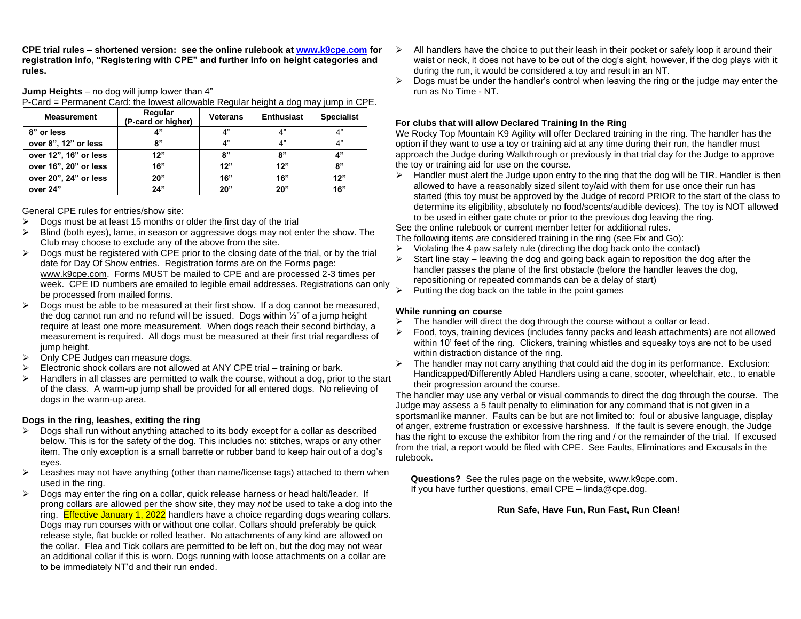**CPE trial rules – shortened version: see the online rulebook at [www.k9cpe.com](http://www.k9cpe.com/) for registration info, "Registering with CPE" and further info on height categories and rules.**

#### **Jump Heights** – no dog will jump lower than 4"

P-Card = Permanent Card: the lowest allowable Regular height a dog may jump in CPE.

| <b>Measurement</b>    | Regular<br>(P-card or higher) | <b>Veterans</b> | <b>Enthusiast</b> | <b>Specialist</b> |
|-----------------------|-------------------------------|-----------------|-------------------|-------------------|
| 8" or less            | A"                            | 4"              | 4"                | 4"                |
| over 8", 12" or less  | ጸ"                            | 4"              | 4"                | 4"                |
| over 12", 16" or less | 12"                           | 8"              | 8"                | 4"                |
| over 16", 20" or less | 16"                           | 12"             | 12"               | 8"                |
| over 20", 24" or less | 20"                           | 16"             | 16"               | 12"               |
| over 24"              | 24"                           | 20"             | 20"               | 16"               |

#### General CPE rules for entries/show site:

- $\triangleright$  Dogs must be at least 15 months or older the first day of the trial
- $\triangleright$  Blind (both eyes), lame, in season or aggressive dogs may not enter the show. The Club may choose to exclude any of the above from the site.
- ➢ Dogs must be registered with CPE prior to the closing date of the trial, or by the trial date for Day Of Show entries. Registration forms are on the Forms page: [www.k9cpe.com.](http://www.k9cpe.com/) Forms MUST be mailed to CPE and are processed 2-3 times per week. CPE ID numbers are emailed to legible email addresses. Registrations can only be processed from mailed forms.
- $\triangleright$  Dogs must be able to be measured at their first show. If a dog cannot be measured, the dog cannot run and no refund will be issued. Dogs within ½" of a jump height require at least one more measurement. When dogs reach their second birthday, a measurement is required. All dogs must be measured at their first trial regardless of jump height.
- ➢ Only CPE Judges can measure dogs.
- $\triangleright$  Electronic shock collars are not allowed at ANY CPE trial training or bark.
- Handlers in all classes are permitted to walk the course, without a dog, prior to the start of the class. A warm-up jump shall be provided for all entered dogs. No relieving of dogs in the warm-up area.

#### **Dogs in the ring, leashes, exiting the ring**

- $\triangleright$  Dogs shall run without anything attached to its body except for a collar as described below. This is for the safety of the dog. This includes no: stitches, wraps or any other item. The only exception is a small barrette or rubber band to keep hair out of a dog's eyes.
- $\triangleright$  Leashes may not have anything (other than name/license tags) attached to them when used in the ring.
- $\triangleright$  Dogs may enter the ring on a collar, quick release harness or head halti/leader. If prong collars are allowed per the show site, they may *not* be used to take a dog into the ring. Effective January 1, 2022 handlers have a choice regarding dogs wearing collars. Dogs may run courses with or without one collar. Collars should preferably be quick release style, flat buckle or rolled leather. No attachments of any kind are allowed on the collar. Flea and Tick collars are permitted to be left on, but the dog may not wear an additional collar if this is worn. Dogs running with loose attachments on a collar are to be immediately NT'd and their run ended.
- $\triangleright$  All handlers have the choice to put their leash in their pocket or safely loop it around their waist or neck, it does not have to be out of the dog's sight, however, if the dog plays with it during the run, it would be considered a toy and result in an NT.
- $\triangleright$  Dogs must be under the handler's control when leaving the ring or the judge may enter the run as No Time - NT.

#### **For clubs that will allow Declared Training In the Ring**

We Rocky Top Mountain K9 Agility will offer Declared training in the ring. The handler has the option if they want to use a toy or training aid at any time during their run, the handler must approach the Judge during Walkthrough or previously in that trial day for the Judge to approve the toy or training aid for use on the course.

 $\triangleright$  Handler must alert the Judge upon entry to the ring that the dog will be TIR. Handler is then allowed to have a reasonably sized silent toy/aid with them for use once their run has started (this toy must be approved by the Judge of record PRIOR to the start of the class to determine its eligibility, absolutely no food/scents/audible devices). The toy is NOT allowed to be used in either gate chute or prior to the previous dog leaving the ring.

See the online rulebook or current member letter for additional rules.

The following items *are* considered training in the ring (see Fix and Go):

- $\triangleright$  Violating the 4 paw safety rule (directing the dog back onto the contact)
- $\triangleright$  Start line stay leaving the dog and going back again to reposition the dog after the handler passes the plane of the first obstacle (before the handler leaves the dog, repositioning or repeated commands can be a delay of start)
- $\triangleright$  Putting the dog back on the table in the point games

#### **While running on course**

- The handler will direct the dog through the course without a collar or lead.
- ➢ Food, toys, training devices (includes fanny packs and leash attachments) are not allowed within 10' feet of the ring. Clickers, training whistles and squeaky toys are not to be used within distraction distance of the ring.
- $\triangleright$  The handler may not carry anything that could aid the dog in its performance. Exclusion: Handicapped/Differently Abled Handlers using a cane, scooter, wheelchair, etc., to enable their progression around the course.

The handler may use any verbal or visual commands to direct the dog through the course. The Judge may assess a 5 fault penalty to elimination for any command that is not given in a sportsmanlike manner. Faults can be but are not limited to: foul or abusive language, display of anger, extreme frustration or excessive harshness. If the fault is severe enough, the Judge has the right to excuse the exhibitor from the ring and / or the remainder of the trial. If excused from the trial, a report would be filed with CPE. See Faults, Eliminations and Excusals in the rulebook.

 **Questions?** See the rules page on the website[, www.k9cpe.com.](http://www.k9cpe.com/) If you have further questions, email CPE – [linda@cpe.dog.](mailto:cpe@charter.net)

#### **Run Safe, Have Fun, Run Fast, Run Clean!**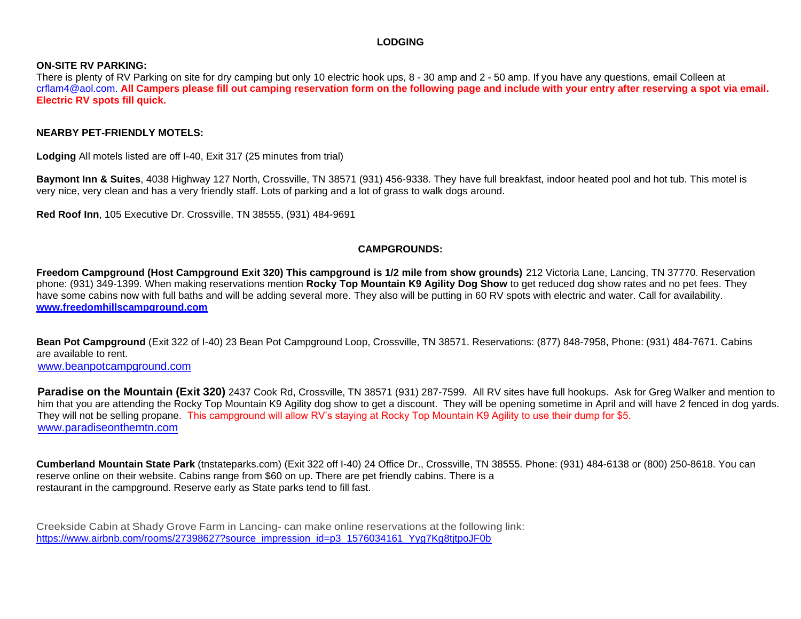### **LODGING**

### **ON-SITE RV PARKING:**

There is plenty of RV Parking on site for dry camping but only 10 electric hook ups, 8 - 30 amp and 2 - 50 amp. If you have any questions, email Colleen at [crflam4@aol.com.](mailto:crflam4@aol.com) **All Campers please fill out camping reservation form on the following page and include with your entry after reserving a spot via email. Electric RV spots fill quick.**

### **NEARBY PET-FRIENDLY MOTELS:**

**Lodging** All motels listed are off I-40, Exit 317 (25 minutes from trial)

**Baymont Inn & Suites**, 4038 Highway 127 North, Crossville, TN 38571 (931) 456-9338. They have full breakfast, indoor heated pool and hot tub. This motel is very nice, very clean and has a very friendly staff. Lots of parking and a lot of grass to walk dogs around.

**Red Roof Inn**, 105 Executive Dr. Crossville, TN 38555, (931) 484-9691

### **CAMPGROUNDS:**

**Freedom Campground (Host Campground Exit 320) This campground is 1/2 mile from show grounds)** 212 Victoria Lane, Lancing, TN 37770. Reservation phone: (931) 349-1399. When making reservations mention **Rocky Top Mountain K9 Agility Dog Show** to get reduced dog show rates and no pet fees. They have some cabins now with full baths and will be adding several more. They also will be putting in 60 RV spots with electric and water. Call for availability. **[www.freedomhillscampground.com](http://www.freedomhillscampground.com/)**

**Bean Pot Campground** (Exit 322 of I-40) 23 Bean Pot Campground Loop, Crossville, TN 38571. Reservations: (877) 848-7958, Phone: (931) 484-7671. Cabins are available to rent.

[www.beanpotcampground.com](http://www.beanpotcampground.com/)

**Paradise on the Mountain (Exit 320)** 2437 Cook Rd, Crossville, TN 38571 (931) 287-7599. All RV sites have full hookups. Ask for Greg Walker and mention to him that you are attending the Rocky Top Mountain K9 Agility dog show to get a discount. They will be opening sometime in April and will have 2 fenced in dog yards. They will not be selling propane. This campground will allow RV's staying at Rocky Top Mountain K9 Agility to use their dump for \$5. [www.paradiseonthemtn.com](http://www.paradiseonthemtn.com/)

**Cumberland Mountain State Park** (tnstateparks.com) (Exit 322 off I-40) 24 Office Dr., Crossville, TN 38555. Phone: (931) 484-6138 or (800) 250-8618. You can reserve online on their website. Cabins range from \$60 on up. There are pet friendly cabins. There is a restaurant in the campground. Reserve early as State parks tend to fill fast.

Creekside Cabin at Shady Grove Farm in Lancing- can make online reservations at the following link: https://www.airbnb.com/rooms/27398627?source\_impression\_id=p3\_1576034161\_Yyg7Kg8titpoJF0b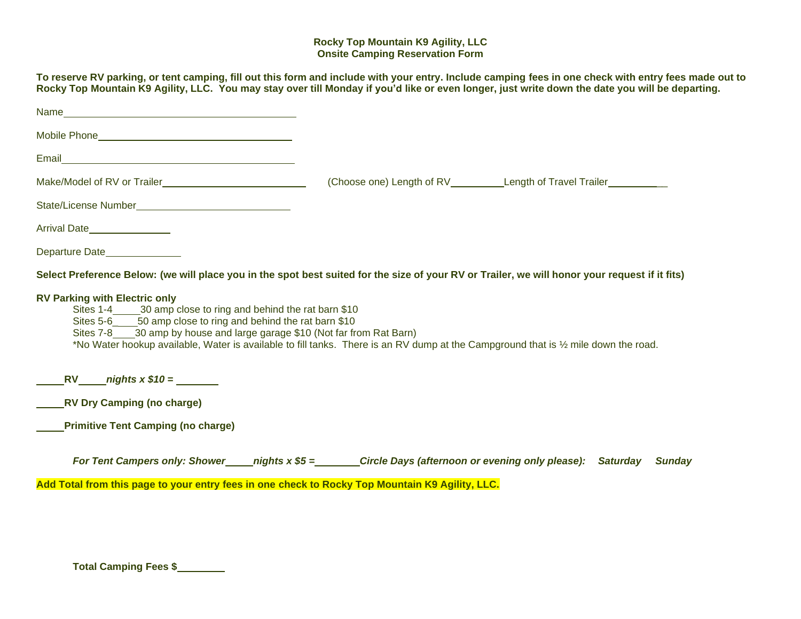### **Rocky Top Mountain K9 Agility, LLC Onsite Camping Reservation Form**

To reserve RV parking, or tent camping, fill out this form and include with your entry. Include camping fees in one check with entry fees made out to Rocky Top Mountain K9 Agility, LLC. You may stay over till Monday if you'd like or even longer, just write down the date you will be departing.

| Mobile Phone <b>Mobile Phone</b>                                                                                                                                                                                                                                                                                                                                                                  |  |                                                    |  |  |  |  |  |
|---------------------------------------------------------------------------------------------------------------------------------------------------------------------------------------------------------------------------------------------------------------------------------------------------------------------------------------------------------------------------------------------------|--|----------------------------------------------------|--|--|--|--|--|
|                                                                                                                                                                                                                                                                                                                                                                                                   |  |                                                    |  |  |  |  |  |
|                                                                                                                                                                                                                                                                                                                                                                                                   |  | (Choose one) Length of RV Length of Travel Trailer |  |  |  |  |  |
|                                                                                                                                                                                                                                                                                                                                                                                                   |  |                                                    |  |  |  |  |  |
| Arrival Date_________________                                                                                                                                                                                                                                                                                                                                                                     |  |                                                    |  |  |  |  |  |
| Departure Date                                                                                                                                                                                                                                                                                                                                                                                    |  |                                                    |  |  |  |  |  |
| Select Preference Below: (we will place you in the spot best suited for the size of your RV or Trailer, we will honor your request if it fits)                                                                                                                                                                                                                                                    |  |                                                    |  |  |  |  |  |
| <b>RV Parking with Electric only</b><br>Sites 1-4 _______ 30 amp close to ring and behind the rat barn \$10<br>Sites 5-6______50 amp close to ring and behind the rat barn \$10<br>Sites 7-8 30 amp by house and large garage \$10 (Not far from Rat Barn)<br>*No Water hookup available, Water is available to fill tanks. There is an RV dump at the Campground that is 1/2 mile down the road. |  |                                                    |  |  |  |  |  |
| $RV$ nights $x $10 =$                                                                                                                                                                                                                                                                                                                                                                             |  |                                                    |  |  |  |  |  |
| RV Dry Camping (no charge)                                                                                                                                                                                                                                                                                                                                                                        |  |                                                    |  |  |  |  |  |
| <b>Primitive Tent Camping (no charge)</b>                                                                                                                                                                                                                                                                                                                                                         |  |                                                    |  |  |  |  |  |
| For Tent Campers only: Shower _____ nights x \$5 =________Circle Days (afternoon or evening only please): Saturday Sunday                                                                                                                                                                                                                                                                         |  |                                                    |  |  |  |  |  |
| Add Total from this page to your entry fees in one check to Rocky Top Mountain K9 Agility, LLC.                                                                                                                                                                                                                                                                                                   |  |                                                    |  |  |  |  |  |

**Total Camping Fees \$**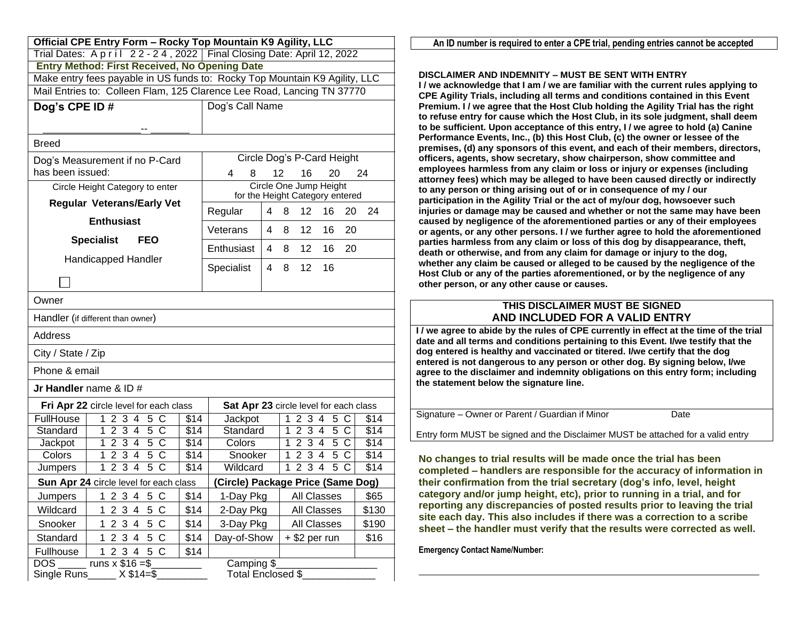| Official CPE Entry Form - Rocky Top Mountain K9 Agility, LLC                      |                                                                              |  |  |  |  |
|-----------------------------------------------------------------------------------|------------------------------------------------------------------------------|--|--|--|--|
|                                                                                   | Trial Dates: A p r i l 22 - 24, 2022   Final Closing Date: April 12, 2022    |  |  |  |  |
| <b>Entry Method: First Received, No Opening Date</b>                              |                                                                              |  |  |  |  |
|                                                                                   | Make entry fees payable in US funds to: Rocky Top Mountain K9 Agility, LLC   |  |  |  |  |
|                                                                                   | Mail Entries to: Colleen Flam, 125 Clarence Lee Road, Lancing TN 37770       |  |  |  |  |
| Dog's CPE ID#                                                                     | Dog's Call Name                                                              |  |  |  |  |
|                                                                                   |                                                                              |  |  |  |  |
| <b>Breed</b>                                                                      |                                                                              |  |  |  |  |
| Dog's Measurement if no P-Card                                                    | Circle Dog's P-Card Height                                                   |  |  |  |  |
| has been issued:                                                                  | 8<br>20<br>4<br>12<br>16<br>24                                               |  |  |  |  |
| Circle Height Category to enter                                                   | Circle One Jump Height                                                       |  |  |  |  |
| <b>Regular Veterans/Early Vet</b>                                                 | for the Height Category entered<br>Regular<br>4<br>12<br>16<br>20<br>24<br>8 |  |  |  |  |
| <b>Enthusiast</b>                                                                 |                                                                              |  |  |  |  |
| <b>Specialist</b><br><b>FEO</b>                                                   | 12<br>Veterans<br>8<br>16<br>20<br>4                                         |  |  |  |  |
|                                                                                   | 20<br>Enthusiast<br>12<br>4<br>8<br>16                                       |  |  |  |  |
| Handicapped Handler                                                               | Specialist<br>12<br>16<br>4<br>8                                             |  |  |  |  |
|                                                                                   |                                                                              |  |  |  |  |
| Owner                                                                             |                                                                              |  |  |  |  |
| Handler (if different than owner)                                                 |                                                                              |  |  |  |  |
| Address                                                                           |                                                                              |  |  |  |  |
| City / State / Zip                                                                |                                                                              |  |  |  |  |
| Phone & email                                                                     |                                                                              |  |  |  |  |
| Jr Handler name $&$ ID $#$                                                        |                                                                              |  |  |  |  |
| Fri Apr 22 circle level for each class                                            | Sat Apr 23 circle level for each class                                       |  |  |  |  |
| FullHouse<br>2 3 4<br>5<br>1<br>\$14<br>C                                         | Jackpot<br>1<br>2 3 4<br>5 C<br>\$14                                         |  |  |  |  |
| Standard<br>2 3 4 5 C<br>1<br>\$14                                                | Standard<br>$\overline{$14}$<br>1<br>2 3 4<br>$5\,C$                         |  |  |  |  |
| 2 3 4 5 C<br>\$14<br>Jackpot<br>1                                                 | 1234<br>5C<br>Colors<br>\$14                                                 |  |  |  |  |
| $\overline{5}$<br>234<br>C<br>Colors<br>1<br>\$14<br>$\overline{5}$               | 234<br>$\overline{5}$<br>Snooker<br>C<br>\$14<br>1                           |  |  |  |  |
| $\overline{2}3$<br>C<br>$\sqrt{$14}$<br>1<br>$\overline{4}$<br>Jumpers            | Wildcard<br>$2\overline{3}$<br>$\overline{5}$<br>\$14<br>1<br>4<br>С         |  |  |  |  |
| Sun Apr 24 circle level for each class                                            | (Circle) Package Price (Same Dog)                                            |  |  |  |  |
| \$14<br>$\sqrt{5}$<br>$\mathsf{C}$<br>Jumpers<br>1 2 3 4                          | All Classes<br>1-Day Pkg<br>\$65                                             |  |  |  |  |
| 5<br>Wildcard<br>$\overline{2}$<br>3<br>$\overline{\mathbf{4}}$<br>С<br>\$14<br>1 | All Classes<br>2-Day Pkg<br>\$130                                            |  |  |  |  |
| $\sqrt{5}$<br>2 3 4<br>Snooker<br>C<br>\$14<br>1                                  | 3-Day Pkg<br>All Classes<br>\$190                                            |  |  |  |  |
| 2 3 4<br>5<br>$\mathsf{C}$<br>Standard<br>1<br>\$14                               | Day-of-Show<br>$+$ \$2 per run<br>\$16                                       |  |  |  |  |
| 2 3 4 5 C<br>Fullhouse<br>\$14<br>1                                               |                                                                              |  |  |  |  |
| runs $x$ \$16 = \$<br><b>DOS</b><br>$X $14 = $$<br>Single Runs                    | Camping \$<br>Total Enclosed \$                                              |  |  |  |  |

An ID number is required to enter a CPE trial, pending entries cannot be accepted

#### **DISCLAIMER AND INDEMNITY – MUST BE SENT WITH ENTRY**

**I / we acknowledge that I am / we are familiar with the current rules applying to CPE Agility Trials, including all terms and conditions contained in this Event Premium. I / we agree that the Host Club holding the Agility Trial has the right to refuse entry for cause which the Host Club, in its sole judgment, shall deem to be sufficient. Upon acceptance of this entry, I / we agree to hold (a) Canine Performance Events, Inc., (b) this Host Club, (c) the owner or lessee of the premises, (d) any sponsors of this event, and each of their members, directors, officers, agents, show secretary, show chairperson, show committee and employees harmless from any claim or loss or injury or expenses (including attorney fees) which may be alleged to have been caused directly or indirectly to any person or thing arising out of or in consequence of my / our participation in the Agility Trial or the act of my/our dog, howsoever such injuries or damage may be caused and whether or not the same may have been caused by negligence of the aforementioned parties or any of their employees or agents, or any other persons. I / we further agree to hold the aforementioned parties harmless from any claim or loss of this dog by disappearance, theft, death or otherwise, and from any claim for damage or injury to the dog, whether any claim be caused or alleged to be caused by the negligence of the Host Club or any of the parties aforementioned, or by the negligence of any other person, or any other cause or causes.**

### **THIS DISCLAIMER MUST BE SIGNED AND INCLUDED FOR A VALID ENTRY**

**I / we agree to abide by the rules of CPE currently in effect at the time of the trial date and all terms and conditions pertaining to this Event. I/we testify that the dog entered is healthy and vaccinated or titered. I/we certify that the dog entered is not dangerous to any person or other dog. By signing below, I/we agree to the disclaimer and indemnity obligations on this entry form; including the statement below the signature line.**

| Signature – Owner or Parent / Guardian if Minor | Date |
|-------------------------------------------------|------|

Entry form MUST be signed and the Disclaimer MUST be attached for a valid entry

**No changes to trial results will be made once the trial has been completed – handlers are responsible for the accuracy of information in their confirmation from the trial secretary (dog's info, level, height category and/or jump height, etc), prior to running in a trial, and for reporting any discrepancies of posted results prior to leaving the trial site each day. This also includes if there was a correction to a scribe sheet – the handler must verify that the results were corrected as well.**

**Emergency Contact Name/Number:**